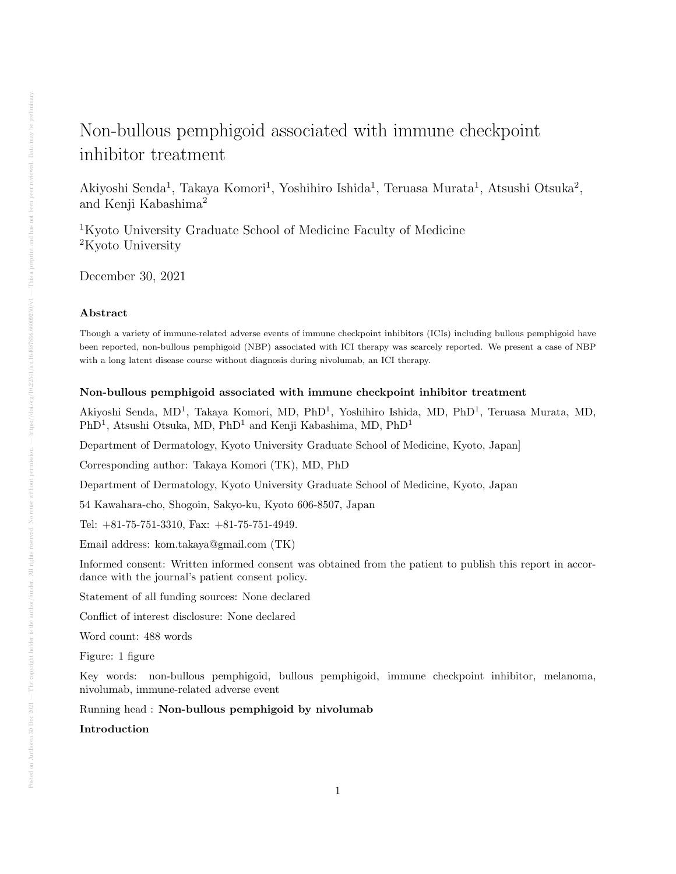# Non-bullous pemphigoid associated with immune checkpoint inhibitor treatment

Akiyoshi Senda<sup>1</sup>, Takaya Komori<sup>1</sup>, Yoshihiro Ishida<sup>1</sup>, Teruasa Murata<sup>1</sup>, Atsushi Otsuka<sup>2</sup>, and Kenji Kabashima<sup>2</sup>

<sup>1</sup>Kyoto University Graduate School of Medicine Faculty of Medicine <sup>2</sup>Kyoto University

December 30, 2021

## Abstract

Though a variety of immune-related adverse events of immune checkpoint inhibitors (ICIs) including bullous pemphigoid have been reported, non-bullous pemphigoid (NBP) associated with ICI therapy was scarcely reported. We present a case of NBP with a long latent disease course without diagnosis during nivolumab, an ICI therapy.

## Non-bullous pemphigoid associated with immune checkpoint inhibitor treatment

Akiyoshi Senda, MD<sup>1</sup>, Takaya Komori, MD, PhD<sup>1</sup>, Yoshihiro Ishida, MD, PhD<sup>1</sup>, Teruasa Murata, MD, PhD<sup>1</sup>, Atsushi Otsuka, MD, PhD<sup>1</sup> and Kenji Kabashima, MD, PhD<sup>1</sup>

Department of Dermatology, Kyoto University Graduate School of Medicine, Kyoto, Japan]

Corresponding author: Takaya Komori (TK), MD, PhD

Department of Dermatology, Kyoto University Graduate School of Medicine, Kyoto, Japan

54 Kawahara-cho, Shogoin, Sakyo-ku, Kyoto 606-8507, Japan

Tel: +81-75-751-3310, Fax: +81-75-751-4949.

Email address: kom.takaya@gmail.com (TK)

Informed consent: Written informed consent was obtained from the patient to publish this report in accordance with the journal's patient consent policy.

Statement of all funding sources: None declared

Conflict of interest disclosure: None declared

Word count: 488 words

Figure: 1 figure

Key words: non-bullous pemphigoid, bullous pemphigoid, immune checkpoint inhibitor, melanoma, nivolumab, immune-related adverse event

Running head : Non-bullous pemphigoid by nivolumab

Introduction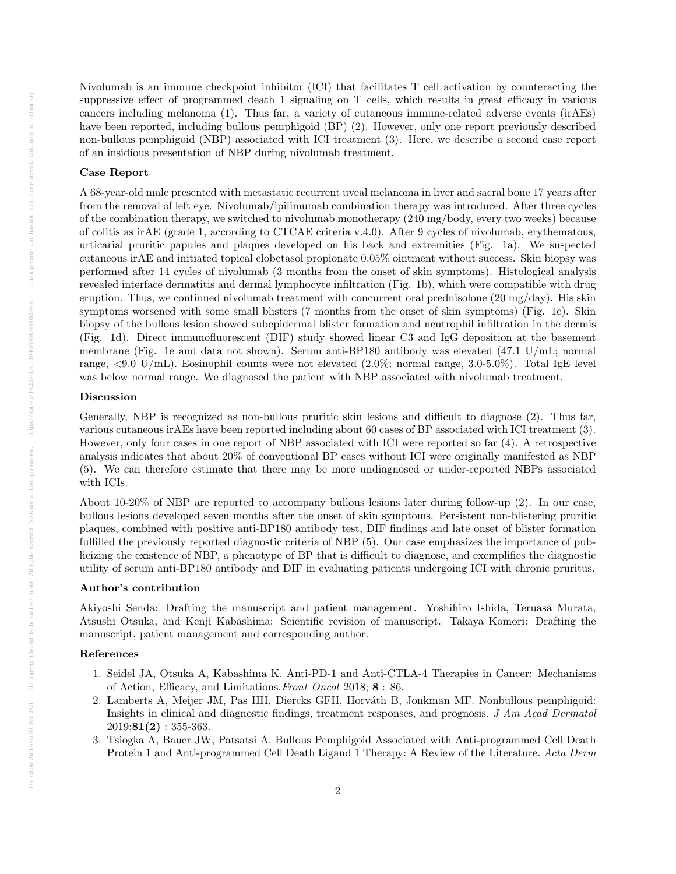Nivolumab is an immune checkpoint inhibitor (ICI) that facilitates T cell activation by counteracting the suppressive effect of programmed death 1 signaling on T cells, which results in great efficacy in various cancers including melanoma (1). Thus far, a variety of cutaneous immune-related adverse events (irAEs) have been reported, including bullous pemphigoid (BP) (2). However, only one report previously described non-bullous pemphigoid (NBP) associated with ICI treatment (3). Here, we describe a second case report of an insidious presentation of NBP during nivolumab treatment.

# Case Report

A 68-year-old male presented with metastatic recurrent uveal melanoma in liver and sacral bone 17 years after from the removal of left eye. Nivolumab/ipilimumab combination therapy was introduced. After three cycles of the combination therapy, we switched to nivolumab monotherapy (240 mg/body, every two weeks) because of colitis as irAE (grade 1, according to CTCAE criteria v.4.0). After 9 cycles of nivolumab, erythematous, urticarial pruritic papules and plaques developed on his back and extremities (Fig. 1a). We suspected cutaneous irAE and initiated topical clobetasol propionate 0.05% ointment without success. Skin biopsy was performed after 14 cycles of nivolumab (3 months from the onset of skin symptoms). Histological analysis revealed interface dermatitis and dermal lymphocyte infiltration (Fig. 1b), which were compatible with drug eruption. Thus, we continued nivolumab treatment with concurrent oral prednisolone  $(20 \text{ mg/day})$ . His skin symptoms worsened with some small blisters (7 months from the onset of skin symptoms) (Fig. 1c). Skin biopsy of the bullous lesion showed subepidermal blister formation and neutrophil infiltration in the dermis (Fig. 1d). Direct immunofluorescent (DIF) study showed linear C3 and IgG deposition at the basement membrane (Fig. 1e and data not shown). Serum anti-BP180 antibody was elevated (47.1 U/mL; normal range, <9.0 U/mL). Eosinophil counts were not elevated (2.0%; normal range, 3.0-5.0%). Total IgE level was below normal range. We diagnosed the patient with NBP associated with nivolumab treatment.

#### Discussion

Generally, NBP is recognized as non-bullous pruritic skin lesions and difficult to diagnose (2). Thus far, various cutaneous irAEs have been reported including about 60 cases of BP associated with ICI treatment (3). However, only four cases in one report of NBP associated with ICI were reported so far (4). A retrospective analysis indicates that about 20% of conventional BP cases without ICI were originally manifested as NBP (5). We can therefore estimate that there may be more undiagnosed or under-reported NBPs associated with ICIs.

About 10-20% of NBP are reported to accompany bullous lesions later during follow-up (2). In our case, bullous lesions developed seven months after the onset of skin symptoms. Persistent non-blistering pruritic plaques, combined with positive anti-BP180 antibody test, DIF findings and late onset of blister formation fulfilled the previously reported diagnostic criteria of NBP (5). Our case emphasizes the importance of publicizing the existence of NBP, a phenotype of BP that is difficult to diagnose, and exemplifies the diagnostic utility of serum anti-BP180 antibody and DIF in evaluating patients undergoing ICI with chronic pruritus.

# Author's contribution

Akiyoshi Senda: Drafting the manuscript and patient management. Yoshihiro Ishida, Teruasa Murata, Atsushi Otsuka, and Kenji Kabashima: Scientific revision of manuscript. Takaya Komori: Drafting the manuscript, patient management and corresponding author.

#### References

- 1. Seidel JA, Otsuka A, Kabashima K. Anti-PD-1 and Anti-CTLA-4 Therapies in Cancer: Mechanisms of Action, Efficacy, and Limitations.Front Oncol 2018; 8 : 86.
- 2. Lamberts A, Meijer JM, Pas HH, Diercks GFH, Horváth B, Jonkman MF. Nonbullous pemphigoid: Insights in clinical and diagnostic findings, treatment responses, and prognosis. J Am Acad Dermatol  $2019;81(2):355-363.$
- 3. Tsiogka A, Bauer JW, Patsatsi A. Bullous Pemphigoid Associated with Anti-programmed Cell Death Protein 1 and Anti-programmed Cell Death Ligand 1 Therapy: A Review of the Literature. Acta Derm